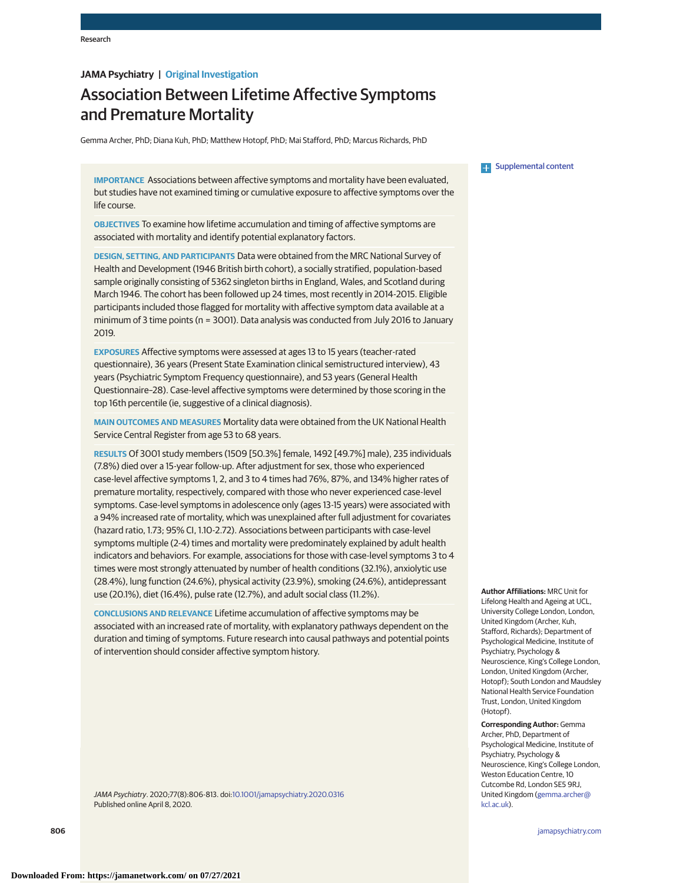### **JAMA Psychiatry | Original Investigation**

# Association Between Lifetime Affective Symptoms and Premature Mortality

Gemma Archer, PhD; Diana Kuh, PhD; Matthew Hotopf, PhD; Mai Stafford, PhD; Marcus Richards, PhD

**IMPORTANCE** Associations between affective symptoms and mortality have been evaluated, but studies have not examined timing or cumulative exposure to affective symptoms over the life course.

**OBJECTIVES** To examine how lifetime accumulation and timing of affective symptoms are associated with mortality and identify potential explanatory factors.

**DESIGN, SETTING, AND PARTICIPANTS** Data were obtained from the MRC National Survey of Health and Development (1946 British birth cohort), a socially stratified, population-based sample originally consisting of 5362 singleton births in England, Wales, and Scotland during March 1946. The cohort has been followed up 24 times, most recently in 2014-2015. Eligible participants included those flagged for mortality with affective symptom data available at a minimum of 3 time points (n = 3001). Data analysis was conducted from July 2016 to January 2019.

**EXPOSURES** Affective symptoms were assessed at ages 13 to 15 years (teacher-rated questionnaire), 36 years (Present State Examination clinical semistructured interview), 43 years (Psychiatric Symptom Frequency questionnaire), and 53 years (General Health Questionnaire–28). Case-level affective symptoms were determined by those scoring in the top 16th percentile (ie, suggestive of a clinical diagnosis).

**MAIN OUTCOMES AND MEASURES** Mortality data were obtained from the UK National Health Service Central Register from age 53 to 68 years.

**RESULTS** Of 3001 study members (1509 [50.3%] female, 1492 [49.7%] male), 235 individuals (7.8%) died over a 15-year follow-up. After adjustment for sex, those who experienced case-level affective symptoms 1, 2, and 3 to 4 times had 76%, 87%, and 134% higher rates of premature mortality, respectively, compared with those who never experienced case-level symptoms. Case-level symptoms in adolescence only (ages 13-15 years) were associated with a 94% increased rate of mortality, which was unexplained after full adjustment for covariates (hazard ratio, 1.73; 95% CI, 1.10-2.72). Associations between participants with case-level symptoms multiple (2-4) times and mortality were predominately explained by adult health indicators and behaviors. For example, associations for those with case-level symptoms 3 to 4 times were most strongly attenuated by number of health conditions (32.1%), anxiolytic use (28.4%), lung function (24.6%), physical activity (23.9%), smoking (24.6%), antidepressant use (20.1%), diet (16.4%), pulse rate (12.7%), and adult social class (11.2%).

**CONCLUSIONS AND RELEVANCE** Lifetime accumulation of affective symptoms may be associated with an increased rate of mortality, with explanatory pathways dependent on the duration and timing of symptoms. Future research into causal pathways and potential points of intervention should consider affective symptom history.

JAMA Psychiatry. 2020;77(8):806-813. doi[:10.1001/jamapsychiatry.2020.0316](https://jamanetwork.com/journals/jama/fullarticle/10.1001/jamapsychiatry.2020.0316?utm_campaign=articlePDF%26utm_medium=articlePDFlink%26utm_source=articlePDF%26utm_content=jamapsychiatry.2020.0316) Published online April 8, 2020.

**Examplemental content** 

**Author Affiliations:** MRC Unit for Lifelong Health and Ageing at UCL, University College London, London, United Kingdom (Archer, Kuh, Stafford, Richards); Department of Psychological Medicine, Institute of Psychiatry, Psychology & Neuroscience, King's College London, London, United Kingdom (Archer, Hotopf); South London and Maudsley National Health Service Foundation Trust, London, United Kingdom (Hotopf).

**Corresponding Author:** Gemma Archer, PhD, Department of Psychological Medicine, Institute of Psychiatry, Psychology & Neuroscience, King's College London, Weston Education Centre, 10 Cutcombe Rd, London SE5 9RJ, United Kingdom [\(gemma.archer@](mailto:gemma.archer@kcl.ac.uk) [kcl.ac.uk\)](mailto:gemma.archer@kcl.ac.uk).

**806 (Reprinted)** [jamapsychiatry.com](http://www.jamapsychiatry.com?utm_campaign=articlePDF%26utm_medium=articlePDFlink%26utm_source=articlePDF%26utm_content=jamapsychiatry.2020.0316)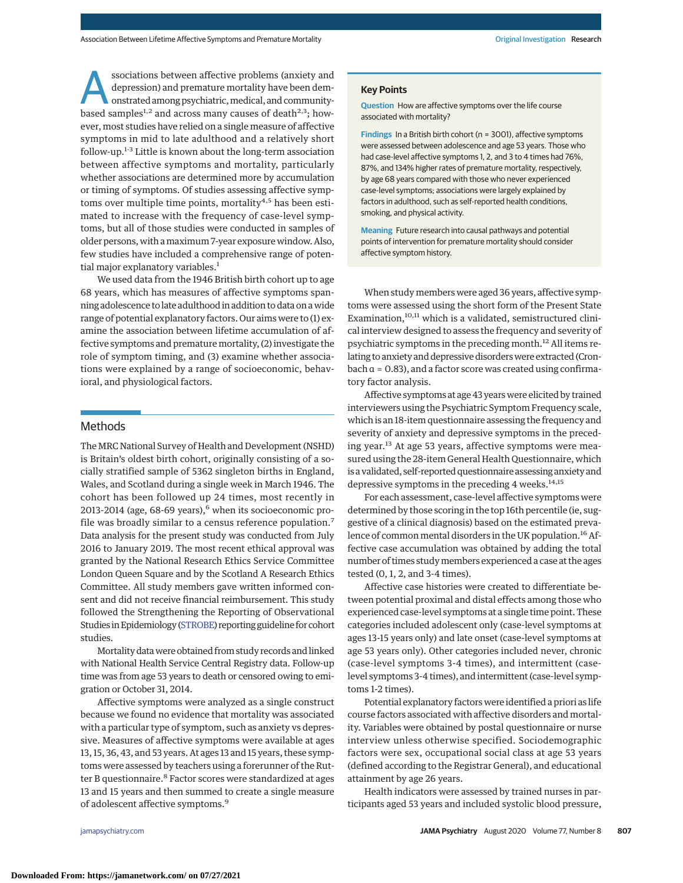ssociations between affective problems (anxiety and<br>depression) and premature mortality have been dem-<br>onstrated among psychiatric, medical, and community-<br>based samples:<sup>12</sup> and across many causes of doath<sup>2,3</sup>, how. depression) and premature mortality have been dembased samples<sup>1,2</sup> and across many causes of death<sup>2,3</sup>; however, most studies have relied on a single measure of affective symptoms in mid to late adulthood and a relatively short follow-up.1-3 Little is known about the long-term association between affective symptoms and mortality, particularly whether associations are determined more by accumulation or timing of symptoms. Of studies assessing affective symptoms over multiple time points, mortality<sup>4,5</sup> has been estimated to increase with the frequency of case-level symptoms, but all of those studies were conducted in samples of older persons, with amaximum 7-year exposure window. Also, few studies have included a comprehensive range of potential major explanatory variables.<sup>1</sup>

We used data from the 1946 British birth cohort up to age 68 years, which has measures of affective symptoms spanning adolescence to late adulthood in addition to data on a wide range of potential explanatory factors. Our aims were to (1) examine the association between lifetime accumulation of affective symptoms and premature mortality, (2) investigate the role of symptom timing, and (3) examine whether associations were explained by a range of socioeconomic, behavioral, and physiological factors.

### Methods

The MRC National Survey of Health and Development (NSHD) is Britain's oldest birth cohort, originally consisting of a socially stratified sample of 5362 singleton births in England, Wales, and Scotland during a single week in March 1946. The cohort has been followed up 24 times, most recently in 2013-2014 (age,  $68-69$  years), $<sup>6</sup>$  when its socioeconomic pro-</sup> file was broadly similar to a census reference population.<sup>7</sup> Data analysis for the present study was conducted from July 2016 to January 2019. The most recent ethical approval was granted by the National Research Ethics Service Committee London Queen Square and by the Scotland A Research Ethics Committee. All study members gave written informed consent and did not receive financial reimbursement. This study followed the Strengthening the Reporting of Observational Studies inEpidemiology [\(STROBE\)](https://www.equator-network.org/reporting-guidelines/strobe/) reporting guideline for cohort studies.

Mortality datawere obtained from study records and linked with National Health Service Central Registry data. Follow-up time was from age 53 years to death or censored owing to emigration or October 31, 2014.

Affective symptoms were analyzed as a single construct because we found no evidence that mortality was associated with a particular type of symptom, such as anxiety vs depressive. Measures of affective symptoms were available at ages 13, 15, 36, 43, and 53 years. At ages 13 and 15 years, these symptoms were assessed by teachers using a forerunner of the Rutter B questionnaire.<sup>8</sup> Factor scores were standardized at ages 13 and 15 years and then summed to create a single measure of adolescent affective symptoms.<sup>9</sup>

### **Key Points**

**Question** How are affective symptoms over the life course associated with mortality?

**Findings** In a British birth cohort (n = 3001), affective symptoms were assessed between adolescence and age 53 years. Those who had case-level affective symptoms 1, 2, and 3 to 4 times had 76%, 87%, and 134% higher rates of premature mortality, respectively, by age 68 years compared with those who never experienced case-level symptoms; associations were largely explained by factors in adulthood, such as self-reported health conditions, smoking, and physical activity.

**Meaning** Future research into causal pathways and potential points of intervention for premature mortality should consider affective symptom history.

When study members were aged 36 years, affective symptoms were assessed using the short form of the Present State Examination,<sup>10,11</sup> which is a validated, semistructured clinical interview designed to assess the frequency and severity of psychiatric symptoms in the preceding month.<sup>12</sup> All items relating to anxiety and depressive disorders were extracted (Cron $b$ ach  $\alpha$  = 0.83), and a factor score was created using confirmatory factor analysis.

Affective symptoms at age 43 years were elicited by trained interviewers using the Psychiatric Symptom Frequency scale, which is an 18-item questionnaire assessing the frequency and severity of anxiety and depressive symptoms in the preceding year.<sup>13</sup> At age 53 years, affective symptoms were measured using the 28-item General Health Questionnaire, which is a validated, self-reported questionnaire assessing anxiety and depressive symptoms in the preceding 4 weeks.<sup>14,15</sup>

For each assessment, case-level affective symptoms were determined by those scoring in the top 16th percentile (ie, suggestive of a clinical diagnosis) based on the estimated prevalence of common mental disorders in the UK population.<sup>16</sup> Affective case accumulation was obtained by adding the total number of times study members experienced a case at the ages tested (0, 1, 2, and 3-4 times).

Affective case histories were created to differentiate between potential proximal and distal effects among those who experienced case-level symptoms at a single time point. These categories included adolescent only (case-level symptoms at ages 13-15 years only) and late onset (case-level symptoms at age 53 years only). Other categories included never, chronic (case-level symptoms 3-4 times), and intermittent (caselevel symptoms 3-4 times), and intermittent (case-level symptoms 1-2 times).

Potential explanatory factors were identified a priori as life course factors associated with affective disorders and mortality. Variables were obtained by postal questionnaire or nurse interview unless otherwise specified. Sociodemographic factors were sex, occupational social class at age 53 years (defined according to the Registrar General), and educational attainment by age 26 years.

Health indicators were assessed by trained nurses in participants aged 53 years and included systolic blood pressure,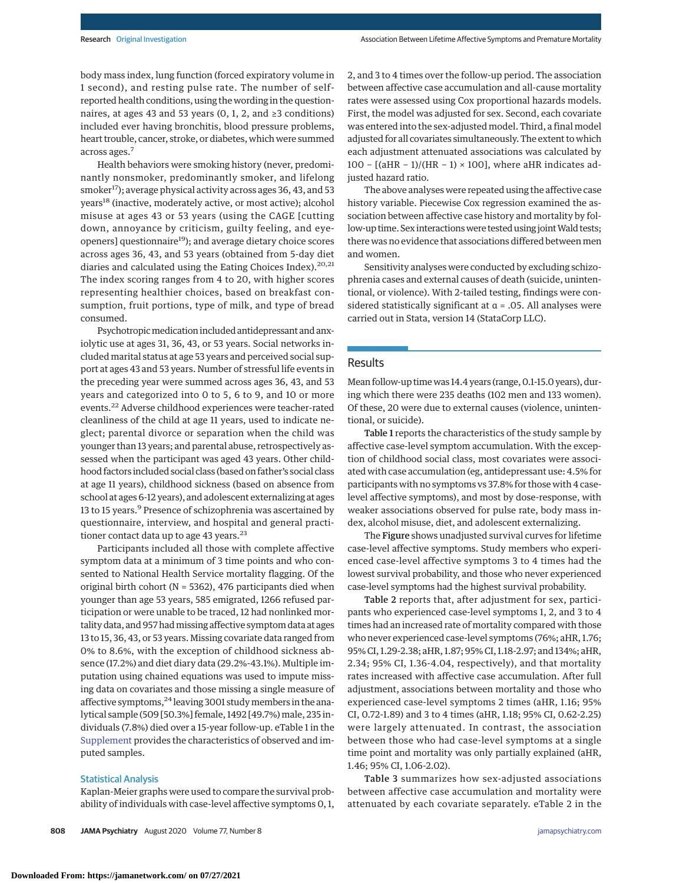body mass index, lung function (forced expiratory volume in 1 second), and resting pulse rate. The number of selfreported health conditions, using the wording in the questionnaires, at ages 43 and 53 years (0, 1, 2, and  $\geq$ 3 conditions) included ever having bronchitis, blood pressure problems, heart trouble, cancer, stroke, or diabetes, which were summed across ages.<sup>7</sup>

Health behaviors were smoking history (never, predominantly nonsmoker, predominantly smoker, and lifelong smoker<sup>17</sup>); average physical activity across ages 36, 43, and 53 years<sup>18</sup> (inactive, moderately active, or most active); alcohol misuse at ages 43 or 53 years (using the CAGE [cutting down, annoyance by criticism, guilty feeling, and eyeopeners] questionnaire<sup>19</sup>); and average dietary choice scores across ages 36, 43, and 53 years (obtained from 5-day diet diaries and calculated using the Eating Choices Index).<sup>20,21</sup> The index scoring ranges from 4 to 20, with higher scores representing healthier choices, based on breakfast consumption, fruit portions, type of milk, and type of bread consumed.

Psychotropicmedication included antidepressant and anxiolytic use at ages 31, 36, 43, or 53 years. Social networks included marital status at age 53 years and perceived social support at ages 43 and 53 years. Number of stressful life events in the preceding year were summed across ages 36, 43, and 53 years and categorized into 0 to 5, 6 to 9, and 10 or more events.<sup>22</sup> Adverse childhood experiences were teacher-rated cleanliness of the child at age 11 years, used to indicate neglect; parental divorce or separation when the child was younger than 13 years; and parental abuse, retrospectively assessed when the participant was aged 43 years. Other childhood factors included social class (based on father's social class at age 11 years), childhood sickness (based on absence from school at ages 6-12 years), and adolescent externalizing at ages 13 to 15 years.<sup>9</sup> Presence of schizophrenia was ascertained by questionnaire, interview, and hospital and general practitioner contact data up to age 43 years.<sup>23</sup>

Participants included all those with complete affective symptom data at a minimum of 3 time points and who consented to National Health Service mortality flagging. Of the original birth cohort (N = 5362), 476 participants died when younger than age 53 years, 585 emigrated, 1266 refused participation or were unable to be traced, 12 had nonlinked mortality data, and 957 had missing affective symptom data at ages 13 to 15, 36, 43, or 53 years. Missing covariate data ranged from 0% to 8.6%, with the exception of childhood sickness absence (17.2%) and diet diary data (29.2%-43.1%). Multiple imputation using chained equations was used to impute missing data on covariates and those missing a single measure of affective symptoms, $^{24}$  leaving 3001 study members in the analytical sample (509 [50.3%] female, 1492 [49.7%) male, 235 individuals (7.8%) died over a 15-year follow-up. eTable 1 in the [Supplement](https://jamanetwork.com/journals/jama/fullarticle/10.1001/jamapsychiatry.2020.0316?utm_campaign=articlePDF%26utm_medium=articlePDFlink%26utm_source=articlePDF%26utm_content=jamapsychiatry.2020.0316) provides the characteristics of observed and imputed samples.

### Statistical Analysis

Kaplan-Meier graphs were used to compare the survival probability of individuals with case-level affective symptoms 0, 1,

2, and 3 to 4 times over the follow-up period. The association between affective case accumulation and all-cause mortality rates were assessed using Cox proportional hazards models. First, the model was adjusted for sex. Second, each covariate was entered into the sex-adjusted model. Third, a final model adjusted for all covariates simultaneously. The extent to which each adjustment attenuated associations was calculated by 100 − [(aHR − 1)/(HR − 1) × 100], where aHR indicates adjusted hazard ratio.

The above analyses were repeated using the affective case history variable. Piecewise Cox regression examined the association between affective case history and mortality by follow-up time. Sex interactions were tested using joint Wald tests; there was no evidence that associations differed between men and women.

Sensitivity analyses were conducted by excluding schizophrenia cases and external causes of death (suicide, unintentional, or violence). With 2-tailed testing, findings were considered statistically significant at  $\alpha$  = .05. All analyses were carried out in Stata, version 14 (StataCorp LLC).

### Results

Mean follow-up time was 14.4 years (range, 0.1-15.0 years), during which there were 235 deaths (102 men and 133 women). Of these, 20 were due to external causes (violence, unintentional, or suicide).

Table 1 reports the characteristics of the study sample by affective case-level symptom accumulation. With the exception of childhood social class, most covariates were associated with case accumulation (eg, antidepressant use: 4.5% for participants with no symptoms vs 37.8% for those with 4 caselevel affective symptoms), and most by dose-response, with weaker associations observed for pulse rate, body mass index, alcohol misuse, diet, and adolescent externalizing.

The Figure shows unadjusted survival curves for lifetime case-level affective symptoms. Study members who experienced case-level affective symptoms 3 to 4 times had the lowest survival probability, and those who never experienced case-level symptoms had the highest survival probability.

Table 2 reports that, after adjustment for sex, participants who experienced case-level symptoms 1, 2, and 3 to 4 times had an increased rate of mortality compared with those who never experienced case-level symptoms (76%; aHR, 1.76; 95% CI, 1.29-2.38; aHR, 1.87; 95% CI, 1.18-2.97; and 134%; aHR, 2.34; 95% CI, 1.36-4.04, respectively), and that mortality rates increased with affective case accumulation. After full adjustment, associations between mortality and those who experienced case-level symptoms 2 times (aHR, 1.16; 95% CI, 0.72-1.89) and 3 to 4 times (aHR, 1.18; 95% CI, 0.62-2.25) were largely attenuated. In contrast, the association between those who had case-level symptoms at a single time point and mortality was only partially explained (aHR, 1.46; 95% CI, 1.06-2.02).

Table 3 summarizes how sex-adjusted associations between affective case accumulation and mortality were attenuated by each covariate separately. eTable 2 in the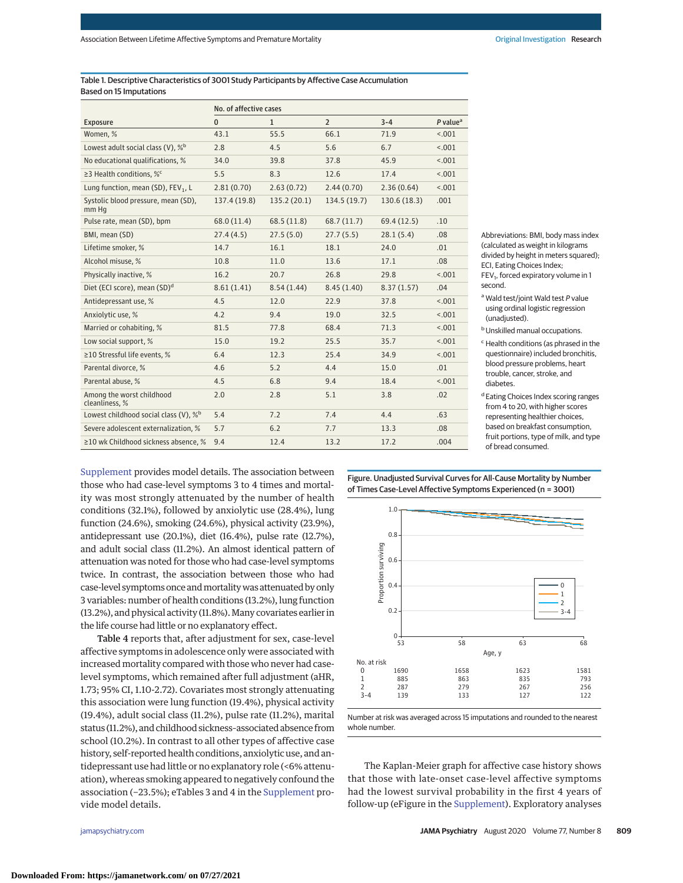Table 1. Descriptive Characteristics of 3001 Study Participants by Affective Case Accumulation Based on 15 Imputations

|                                                   | No. of affective cases |              |                |             |                        |
|---------------------------------------------------|------------------------|--------------|----------------|-------------|------------------------|
| <b>Exposure</b>                                   | $\mathbf{0}$           | $\mathbf{1}$ | $\overline{2}$ | $3 - 4$     | $P$ value <sup>a</sup> |
| Women, %                                          | 43.1                   | 55.5         | 66.1           | 71.9        | < .001                 |
| Lowest adult social class (V), % <sup>b</sup>     | 2.8                    | 4.5          | 5.6            | 6.7         | < 0.01                 |
| No educational qualifications, %                  | 34.0                   | 39.8         | 37.8           | 45.9        | < .001                 |
| ≥3 Health conditions, % <sup>c</sup>              | 5.5                    | 8.3          | 12.6           | 17.4        | < .001                 |
| Lung function, mean (SD), FEV <sub>1</sub> , L    | 2.81(0.70)             | 2.63(0.72)   | 2.44(0.70)     | 2.36(0.64)  | < 0.01                 |
| Systolic blood pressure, mean (SD),<br>mm Hq      | 137.4 (19.8)           | 135.2 (20.1) | 134.5(19.7)    | 130.6(18.3) | .001                   |
| Pulse rate, mean (SD), bpm                        | 68.0 (11.4)            | 68.5(11.8)   | 68.7(11.7)     | 69.4(12.5)  | .10                    |
| BMI, mean (SD)                                    | 27.4(4.5)              | 27.5(5.0)    | 27.7(5.5)      | 28.1(5.4)   | .08                    |
| Lifetime smoker, %                                | 14.7                   | 16.1         | 18.1           | 24.0        | .01                    |
| Alcohol misuse, %                                 | 10.8                   | 11.0         | 13.6           | 17.1        | .08                    |
| Physically inactive, %                            | 16.2                   | 20.7         | 26.8           | 29.8        | < .001                 |
| Diet (ECI score), mean (SD) <sup>d</sup>          | 8.61(1.41)             | 8.54(1.44)   | 8.45(1.40)     | 8.37(1.57)  | .04                    |
| Antidepressant use, %                             | 4.5                    | 12.0         | 22.9           | 37.8        | < .001                 |
| Anxiolytic use, %                                 | 4.2                    | 9.4          | 19.0           | 32.5        | < .001                 |
| Married or cohabiting, %                          | 81.5                   | 77.8         | 68.4           | 71.3        | < .001                 |
| Low social support, %                             | 15.0                   | 19.2         | 25.5           | 35.7        | < .001                 |
| ≥10 Stressful life events, %                      | 6.4                    | 12.3         | 25.4           | 34.9        | < .001                 |
| Parental divorce, %                               | 4.6                    | 5.2          | 4.4            | 15.0        | .01                    |
| Parental abuse, %                                 | 4.5                    | 6.8          | 9.4            | 18.4        | < .001                 |
| Among the worst childhood<br>cleanliness, %       | 2.0                    | 2.8          | 5.1            | 3.8         | .02                    |
| Lowest childhood social class (V), % <sup>b</sup> | 5.4                    | 7.2          | 7.4            | 4.4         | .63                    |
| Severe adolescent externalization, %              | 5.7                    | 6.2          | 7.7            | 13.3        | .08                    |
| ≥10 wk Childhood sickness absence, %              | 9.4                    | 12.4         | 13.2           | 17.2        | .004                   |

Abbreviations: BMI, body mass index (calculated as weight in kilograms divided by height in meters squared); ECI, Eating Choices Index;  $FEV<sub>1</sub>$ , forced expiratory volume in 1 second.

- <sup>a</sup> Wald test/joint Wald test P value using ordinal logistic regression (unadiusted).
- **b** Unskilled manual occupations.
- <sup>c</sup> Health conditions (as phrased in the questionnaire) included bronchitis, blood pressure problems, heart trouble, cancer, stroke, and diabetes.
- d Eating Choices Index scoring ranges from 4 to 20, with higher scores representing healthier choices, based on breakfast consumption, fruit portions, type of milk, and type of bread consumed.

[Supplement](https://jamanetwork.com/journals/jama/fullarticle/10.1001/jamapsychiatry.2020.0316?utm_campaign=articlePDF%26utm_medium=articlePDFlink%26utm_source=articlePDF%26utm_content=jamapsychiatry.2020.0316) provides model details. The association between those who had case-level symptoms 3 to 4 times and mortality was most strongly attenuated by the number of health conditions (32.1%), followed by anxiolytic use (28.4%), lung function (24.6%), smoking (24.6%), physical activity (23.9%), antidepressant use (20.1%), diet (16.4%), pulse rate (12.7%), and adult social class (11.2%). An almost identical pattern of attenuation was noted for those who had case-level symptoms twice. In contrast, the association between those who had case-level symptoms once andmortalitywas attenuated by only 3 variables: number of health conditions (13.2%), lung function (13.2%), and physical activity (11.8%). Many covariates earlier in the life course had little or no explanatory effect.

Table 4 reports that, after adjustment for sex, case-level affective symptoms in adolescence only were associated with increased mortality compared with those who never had caselevel symptoms, which remained after full adjustment (aHR, 1.73; 95% CI, 1.10-2.72). Covariates most strongly attenuating this association were lung function (19.4%), physical activity (19.4%), adult social class (11.2%), pulse rate (11.2%), marital status (11.2%), and childhood sickness–associated absence from school (10.2%). In contrast to all other types of affective case history, self-reported health conditions, anxiolytic use, and antidepressant use had little or no explanatory role (<6% attenuation), whereas smoking appeared to negatively confound the association (−23.5%); eTables 3 and 4 in the [Supplement](https://jamanetwork.com/journals/jama/fullarticle/10.1001/jamapsychiatry.2020.0316?utm_campaign=articlePDF%26utm_medium=articlePDFlink%26utm_source=articlePDF%26utm_content=jamapsychiatry.2020.0316) provide model details.

Figure. Unadjusted Survival Curves for All-Cause Mortality by Number of Times Case-Level Affective Symptoms Experienced (n = 3001)



Number at risk was averaged across 15 imputations and rounded to the nearest whole number.

The Kaplan-Meier graph for affective case history shows that those with late-onset case-level affective symptoms had the lowest survival probability in the first 4 years of follow-up (eFigure in the [Supplement\)](https://jamanetwork.com/journals/jama/fullarticle/10.1001/jamapsychiatry.2020.0316?utm_campaign=articlePDF%26utm_medium=articlePDFlink%26utm_source=articlePDF%26utm_content=jamapsychiatry.2020.0316). Exploratory analyses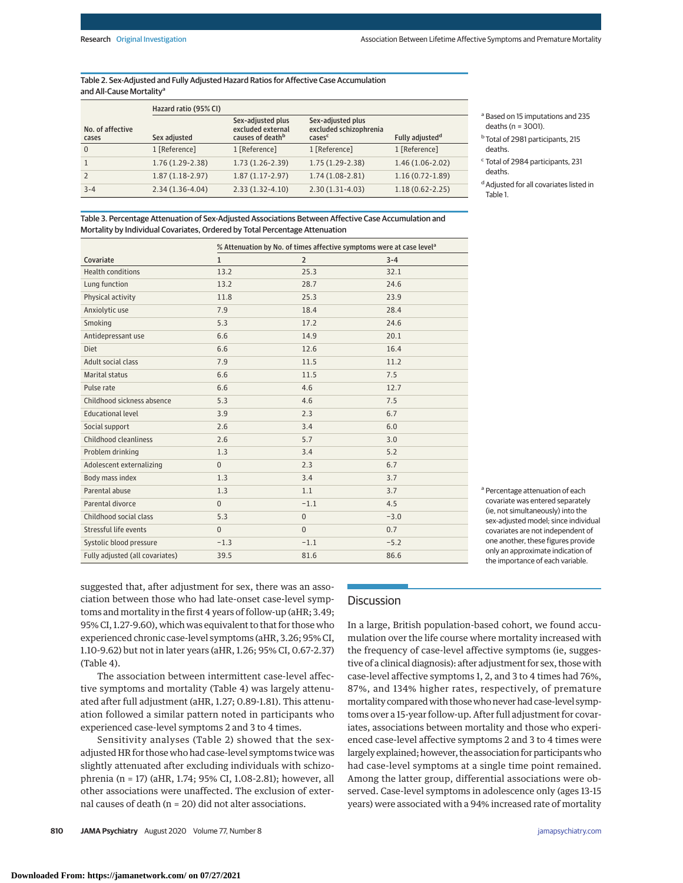Table 2. Sex-Adjusted and Fully Adjusted Hazard Ratios for Affective Case Accumulation and All-Cause Mortality<sup>a</sup>

|                           | Hazard ratio (95% CI) |                                                            |                                                                   |                             |
|---------------------------|-----------------------|------------------------------------------------------------|-------------------------------------------------------------------|-----------------------------|
| No. of affective<br>cases | Sex adjusted          | Sex-adjusted plus<br>excluded external<br>causes of deathb | Sex-adjusted plus<br>excluded schizophrenia<br>cases <sup>c</sup> | Fully adjusted <sup>d</sup> |
| $\Omega$                  | 1 [Reference]         | 1 [Reference]                                              | 1 [Reference]                                                     | 1 [Reference]               |
|                           | $1.76(1.29-2.38)$     | $1.73(1.26-2.39)$                                          | $1.75(1.29-2.38)$                                                 | $1.46(1.06-2.02)$           |
|                           | $1.87(1.18-2.97)$     | $1.87(1.17-2.97)$                                          | $1.74(1.08-2.81)$                                                 | $1.16(0.72 - 1.89)$         |
| $3 - 4$                   | $2.34(1.36-4.04)$     | $2.33(1.32 - 4.10)$                                        | $2.30(1.31-4.03)$                                                 | $1.18(0.62 - 2.25)$         |

<sup>a</sup> Based on 15 imputations and 235 deaths (n = 3001).

<sup>b</sup> Total of 2981 participants, 215 deaths.

<sup>c</sup> Total of 2984 participants, 231 deaths.

<sup>d</sup> Adjusted for all covariates listed in Table 1.

Table 3. Percentage Attenuation of Sex-Adjusted Associations Between Affective Case Accumulation and Mortality by Individual Covariates, Ordered by Total Percentage Attenuation

|                                 | % Attenuation by No. of times affective symptoms were at case level <sup>a</sup> |                |         |
|---------------------------------|----------------------------------------------------------------------------------|----------------|---------|
| Covariate                       | $\mathbf{1}$                                                                     | $\overline{2}$ | $3 - 4$ |
| <b>Health conditions</b>        | 13.2                                                                             | 25.3           | 32.1    |
| Lung function                   | 13.2                                                                             | 28.7           | 24.6    |
| Physical activity               | 11.8                                                                             | 25.3           | 23.9    |
| Anxiolytic use                  | 7.9                                                                              | 18.4           | 28.4    |
| Smoking                         | 5.3                                                                              | 17.2           | 24.6    |
| Antidepressant use              | 6.6                                                                              | 14.9           | 20.1    |
| <b>Diet</b>                     | 6.6                                                                              | 12.6           | 16.4    |
| Adult social class              | 7.9                                                                              | 11.5           | 11.2    |
| Marital status                  | 6.6                                                                              | 11.5           | 7.5     |
| Pulse rate                      | 6.6                                                                              | 4.6            | 12.7    |
| Childhood sickness absence      | 5.3                                                                              | 4.6            | 7.5     |
| <b>Educational level</b>        | 3.9                                                                              | 2.3            | 6.7     |
| Social support                  | 2.6                                                                              | 3.4            | 6.0     |
| Childhood cleanliness           | 2.6                                                                              | 5.7            | 3.0     |
| Problem drinking                | 1.3                                                                              | 3.4            | 5.2     |
| Adolescent externalizing        | $\mathbf{0}$                                                                     | 2.3            | 6.7     |
| Body mass index                 | 1.3                                                                              | 3.4            | 3.7     |
| Parental abuse                  | 1.3                                                                              | 1.1            | 3.7     |
| Parental divorce                | $\Omega$                                                                         | $-1.1$         | 4.5     |
| Childhood social class          | 5.3                                                                              | $\Omega$       | $-3.0$  |
| Stressful life events           | $\Omega$                                                                         | $\Omega$       | 0.7     |
| Systolic blood pressure         | $-1.3$                                                                           | $-1.1$         | $-5.2$  |
| Fully adjusted (all covariates) | 39.5                                                                             | 81.6           | 86.6    |

<sup>a</sup> Percentage attenuation of each covariate was entered separately (ie, not simultaneously) into the sex-adjusted model; since individual covariates are not independent of one another, these figures provide only an approximate indication of the importance of each variable.

suggested that, after adjustment for sex, there was an association between those who had late-onset case-level symptoms and mortality in the first 4 years of follow-up (aHR; 3.49; 95% CI, 1.27-9.60), which was equivalent to that for those who experienced chronic case-level symptoms (aHR, 3.26; 95% CI, 1.10-9.62) but not in later years (aHR, 1.26; 95% CI, 0.67-2.37) (Table 4).

The association between intermittent case-level affective symptoms and mortality (Table 4) was largely attenuated after full adjustment (aHR, 1.27; 0.89-1.81). This attenuation followed a similar pattern noted in participants who experienced case-level symptoms 2 and 3 to 4 times.

Sensitivity analyses (Table 2) showed that the sexadjusted HR for those who had case-level symptoms twice was slightly attenuated after excluding individuals with schizophrenia (n = 17) (aHR, 1.74; 95% CI, 1.08-2.81); however, all other associations were unaffected. The exclusion of external causes of death (n = 20) did not alter associations.

## **Discussion**

In a large, British population-based cohort, we found accumulation over the life course where mortality increased with the frequency of case-level affective symptoms (ie, suggestive of a clinical diagnosis): after adjustment for sex, those with case-level affective symptoms 1, 2, and 3 to 4 times had 76%, 87%, and 134% higher rates, respectively, of premature mortality compared with those who never had case-level symptoms over a 15-year follow-up. After full adjustment for covariates, associations between mortality and those who experienced case-level affective symptoms 2 and 3 to 4 times were largely explained; however, the association for participantswho had case-level symptoms at a single time point remained. Among the latter group, differential associations were observed. Case-level symptoms in adolescence only (ages 13-15 years) were associated with a 94% increased rate of mortality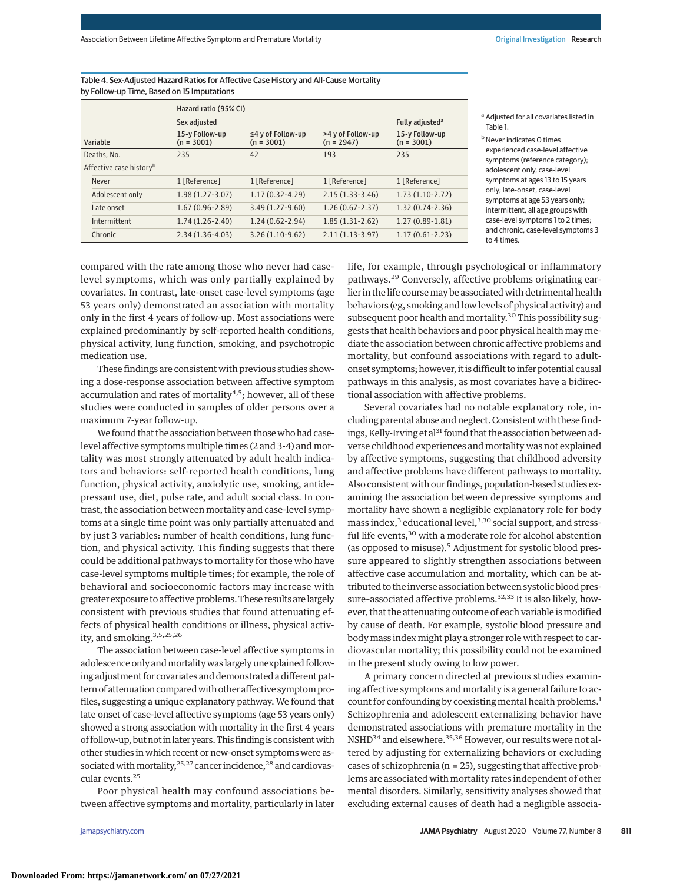Table 4. Sex-Adjusted Hazard Ratios for Affective Case History and All-Cause Mortality by Follow-up Time, Based on 15 Imputations

|                                     | Hazard ratio (95% CI)          |                                         |                                   |                                |
|-------------------------------------|--------------------------------|-----------------------------------------|-----------------------------------|--------------------------------|
|                                     | Sex adjusted                   | Fully adjusted <sup>a</sup>             |                                   |                                |
| Variable                            | 15-y Follow-up<br>$(n = 3001)$ | $\leq$ 4 y of Follow-up<br>$(n = 3001)$ | >4 y of Follow-up<br>$(n = 2947)$ | 15-y Follow-up<br>$(n = 3001)$ |
| Deaths, No.                         | 235                            | 42                                      | 193                               | 235                            |
| Affective case history <sup>b</sup> |                                |                                         |                                   |                                |
| Never                               | 1 [Reference]                  | 1 [Reference]                           | 1 [Reference]                     | 1 [Reference]                  |
| Adolescent only                     | $1.98(1.27-3.07)$              | $1.17(0.32 - 4.29)$                     | $2.15(1.33-3.46)$                 | $1.73(1.10-2.72)$              |
| Late onset                          | $1.67(0.96 - 2.89)$            | $3.49(1.27-9.60)$                       | $1.26(0.67 - 2.37)$               | $1.32(0.74-2.36)$              |
| Intermittent                        | $1.74(1.26-2.40)$              | $1.24(0.62 - 2.94)$                     | $1.85(1.31-2.62)$                 | $1.27(0.89-1.81)$              |
| Chronic                             | $2.34(1.36-4.03)$              | $3.26(1.10-9.62)$                       | $2.11(1.13-3.97)$                 | $1.17(0.61 - 2.23)$            |

<sup>a</sup> Adjusted for all covariates listed in Table 1.

**b** Never indicates 0 times experienced case-level affective symptoms (reference category); adolescent only, case-level symptoms at ages 13 to 15 years only; late-onset, case-level symptoms at age 53 years only; intermittent, all age groups with case-level symptoms 1 to 2 times; and chronic, case-level symptoms 3 to 4 times.

compared with the rate among those who never had caselevel symptoms, which was only partially explained by covariates. In contrast, late-onset case-level symptoms (age 53 years only) demonstrated an association with mortality only in the first 4 years of follow-up. Most associations were explained predominantly by self-reported health conditions, physical activity, lung function, smoking, and psychotropic medication use.

These findings are consistent with previous studies showing a dose-response association between affective symptom accumulation and rates of mortality<sup>4,5</sup>; however, all of these studies were conducted in samples of older persons over a maximum 7-year follow-up.

We found that the association between thosewho had caselevel affective symptoms multiple times (2 and 3-4) and mortality was most strongly attenuated by adult health indicators and behaviors: self-reported health conditions, lung function, physical activity, anxiolytic use, smoking, antidepressant use, diet, pulse rate, and adult social class. In contrast, the association between mortality and case-level symptoms at a single time point was only partially attenuated and by just 3 variables: number of health conditions, lung function, and physical activity. This finding suggests that there could be additional pathways to mortality for those who have case-level symptoms multiple times; for example, the role of behavioral and socioeconomic factors may increase with greater exposure to affective problems. These results are largely consistent with previous studies that found attenuating effects of physical health conditions or illness, physical activity, and smoking.3,5,25,26

The association between case-level affective symptoms in adolescence only andmortalitywas largely unexplained following adjustment for covariates and demonstrated a different pattern of attenuation compared with other affective symptom profiles, suggesting a unique explanatory pathway. We found that late onset of case-level affective symptoms (age 53 years only) showed a strong association with mortality in the first 4 years of follow-up, but not in later years. This finding is consistent with other studies in which recent or new-onset symptoms were associated with mortality, <sup>25,27</sup> cancer incidence, <sup>28</sup> and cardiovascular events.25

Poor physical health may confound associations between affective symptoms and mortality, particularly in later

life, for example, through psychological or inflammatory pathways.<sup>29</sup> Conversely, affective problems originating earlier in the life coursemay be associated with detrimental health behaviors (eg, smoking and low levels of physical activity) and subsequent poor health and mortality.<sup>30</sup> This possibility suggests that health behaviors and poor physical health may mediate the association between chronic affective problems and mortality, but confound associations with regard to adultonset symptoms; however, it is difficult to infer potential causal pathways in this analysis, as most covariates have a bidirectional association with affective problems.

Several covariates had no notable explanatory role, including parental abuse and neglect. Consistent with these findings, Kelly-Irving et al<sup>31</sup> found that the association between adverse childhood experiences and mortality was not explained by affective symptoms, suggesting that childhood adversity and affective problems have different pathways to mortality. Also consistent with our findings, population-based studies examining the association between depressive symptoms and mortality have shown a negligible explanatory role for body mass index, $3$  educational level, $3,30$  social support, and stressful life events,<sup>30</sup> with a moderate role for alcohol abstention (as opposed to misuse).<sup>5</sup> Adjustment for systolic blood pressure appeared to slightly strengthen associations between affective case accumulation and mortality, which can be attributed to the inverse association between systolic blood pressure-associated affective problems.<sup>32,33</sup> It is also likely, however, that the attenuating outcome of each variable is modified by cause of death. For example, systolic blood pressure and body mass index might play a stronger role with respect to cardiovascular mortality; this possibility could not be examined in the present study owing to low power.

A primary concern directed at previous studies examining affective symptoms and mortality is a general failure to account for confounding by coexisting mental health problems.1 Schizophrenia and adolescent externalizing behavior have demonstrated associations with premature mortality in the NSHD<sup>34</sup> and elsewhere.<sup>35,36</sup> However, our results were not altered by adjusting for externalizing behaviors or excluding cases of schizophrenia (n = 25), suggesting that affective problems are associated with mortality rates independent of other mental disorders. Similarly, sensitivity analyses showed that excluding external causes of death had a negligible associa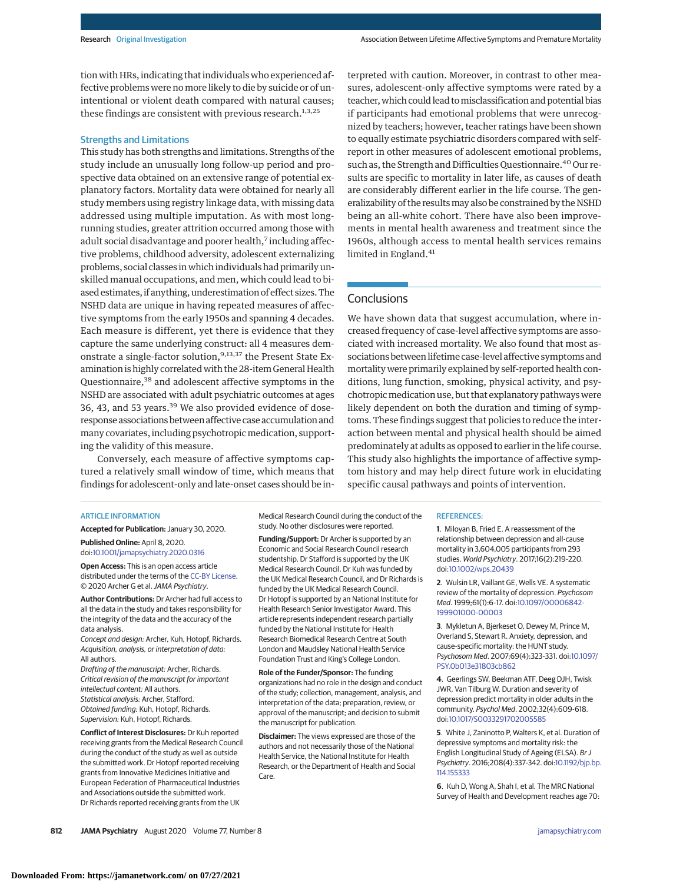tion with HRs, indicating that individuals who experienced affective problems were no more likely to die by suicide or of unintentional or violent death compared with natural causes; these findings are consistent with previous research. $1,3,25$ 

### Strengths and Limitations

This study has both strengths and limitations. Strengths of the study include an unusually long follow-up period and prospective data obtained on an extensive range of potential explanatory factors. Mortality data were obtained for nearly all study members using registry linkage data, with missing data addressed using multiple imputation. As with most longrunning studies, greater attrition occurred among those with adult social disadvantage and poorer health,<sup>7</sup> including affective problems, childhood adversity, adolescent externalizing problems, social classes in which individuals had primarily unskilled manual occupations, and men, which could lead to biased estimates, if anything, underestimation of effect sizes. The NSHD data are unique in having repeated measures of affective symptoms from the early 1950s and spanning 4 decades. Each measure is different, yet there is evidence that they capture the same underlying construct: all 4 measures demonstrate a single-factor solution,<sup>9,13,37</sup> the Present State Examination is highly correlated with the 28-item General Health Questionnaire,<sup>38</sup> and adolescent affective symptoms in the NSHD are associated with adult psychiatric outcomes at ages 36, 43, and 53 years.<sup>39</sup> We also provided evidence of doseresponse associations between affective case accumulation and many covariates, including psychotropic medication, supporting the validity of this measure.

Conversely, each measure of affective symptoms captured a relatively small window of time, which means that findings for adolescent-only and late-onset cases should be interpreted with caution. Moreover, in contrast to other measures, adolescent-only affective symptoms were rated by a teacher, which could lead to misclassification and potential bias if participants had emotional problems that were unrecognized by teachers; however, teacher ratings have been shown to equally estimate psychiatric disorders compared with selfreport in other measures of adolescent emotional problems, such as, the Strength and Difficulties Questionnaire.<sup>40</sup> Our results are specific to mortality in later life, as causes of death are considerably different earlier in the life course. The generalizability of the resultsmay also be constrained by the NSHD being an all-white cohort. There have also been improvements in mental health awareness and treatment since the 1960s, although access to mental health services remains limited in England.<sup>41</sup>

### **Conclusions**

We have shown data that suggest accumulation, where increased frequency of case-level affective symptoms are associated with increased mortality. We also found that most associations between lifetime case-level affective symptoms and mortality were primarily explained by self-reported health conditions, lung function, smoking, physical activity, and psychotropic medication use, but that explanatory pathways were likely dependent on both the duration and timing of symptoms. These findings suggest that policies to reduce the interaction between mental and physical health should be aimed predominately at adults as opposed to earlier in the life course. This study also highlights the importance of affective symptom history and may help direct future work in elucidating specific causal pathways and points of intervention.

### ARTICLE INFORMATION

**Accepted for Publication:** January 30, 2020.

**Published Online:** April 8, 2020. doi[:10.1001/jamapsychiatry.2020.0316](https://jamanetwork.com/journals/jama/fullarticle/10.1001/jamapsychiatry.2020.0316?utm_campaign=articlePDF%26utm_medium=articlePDFlink%26utm_source=articlePDF%26utm_content=jamapsychiatry.2020.0316)

**Open Access:** This is an open access article distributed under the terms of the [CC-BY License.](https://jamanetwork.com/journals/jamapsychiatry/pages/instructions-for-authors?utm_campaign=articlePDF%26utm_medium=articlePDFlink%26utm_source=articlePDF%26utm_content=jamapsychiatry.2020.0316#SecOpenAccess) © 2020 Archer G et al.JAMA Psychiatry.

**Author Contributions:** Dr Archer had full access to all the data in the study and takes responsibility for the integrity of the data and the accuracy of the data analysis.

Concept and design: Archer, Kuh, Hotopf, Richards. Acquisition, analysis, or interpretation of data: All authors.

Drafting of the manuscript: Archer, Richards. Critical revision of the manuscript for important intellectual content: All authors. Statistical analysis: Archer, Stafford. Obtained funding: Kuh, Hotopf, Richards. Supervision: Kuh, Hotopf, Richards.

**Conflict of Interest Disclosures:** Dr Kuh reported receiving grants from the Medical Research Council during the conduct of the study as well as outside the submitted work. Dr Hotopf reported receiving grants from Innovative Medicines Initiative and European Federation of Pharmaceutical Industries and Associations outside the submitted work. Dr Richards reported receiving grants from the UK

Medical Research Council during the conduct of the study. No other disclosures were reported.

**Funding/Support:** Dr Archer is supported by an Economic and Social Research Council research studentship. Dr Stafford is supported by the UK Medical Research Council. Dr Kuh was funded by the UK Medical Research Council, and Dr Richards is funded by the UK Medical Research Council. Dr Hotopf is supported by an National Institute for Health Research Senior Investigator Award. This article represents independent research partially funded by the National Institute for Health Research Biomedical Research Centre at South London and Maudsley National Health Service Foundation Trust and King's College London.

**Role of the Funder/Sponsor:** The funding organizations had no role in the design and conduct of the study; collection, management, analysis, and interpretation of the data; preparation, review, or approval of the manuscript; and decision to submit the manuscript for publication.

**Disclaimer:** The views expressed are those of the authors and not necessarily those of the National Health Service, the National Institute for Health Research, or the Department of Health and Social Care.

### REFERENCES:

**1**. Miloyan B, Fried E. A reassessment of the relationship between depression and all-cause mortality in 3,604,005 participants from 293 studies. World Psychiatry. 2017;16(2):219-220. doi[:10.1002/wps.20439](https://dx.doi.org/10.1002/wps.20439)

**2**. Wulsin LR, Vaillant GE, Wells VE. A systematic review of the mortality of depression. Psychosom Med. 1999;61(1):6-17. doi[:10.1097/00006842-](https://dx.doi.org/10.1097/00006842-199901000-00003) [199901000-00003](https://dx.doi.org/10.1097/00006842-199901000-00003)

**3**. Mykletun A, Bjerkeset O, Dewey M, Prince M, Overland S, Stewart R. Anxiety, depression, and cause-specific mortality: the HUNT study. Psychosom Med. 2007;69(4):323-331. doi[:10.1097/](https://dx.doi.org/10.1097/PSY.0b013e31803cb862) [PSY.0b013e31803cb862](https://dx.doi.org/10.1097/PSY.0b013e31803cb862)

**4**. Geerlings SW, Beekman ATF, Deeg DJH, Twisk JWR, Van Tilburg W. Duration and severity of depression predict mortality in older adults in the community. Psychol Med. 2002;32(4):609-618. doi[:10.1017/S0033291702005585](https://dx.doi.org/10.1017/S0033291702005585)

**5**. White J, Zaninotto P, Walters K, et al. Duration of depressive symptoms and mortality risk: the English Longitudinal Study of Ageing (ELSA). Br J Psychiatry. 2016;208(4):337-342. doi[:10.1192/bjp.bp.](https://dx.doi.org/10.1192/bjp.bp.114.155333) [114.155333](https://dx.doi.org/10.1192/bjp.bp.114.155333)

**6**. Kuh D, Wong A, Shah I, et al. The MRC National Survey of Health and Development reaches age 70: